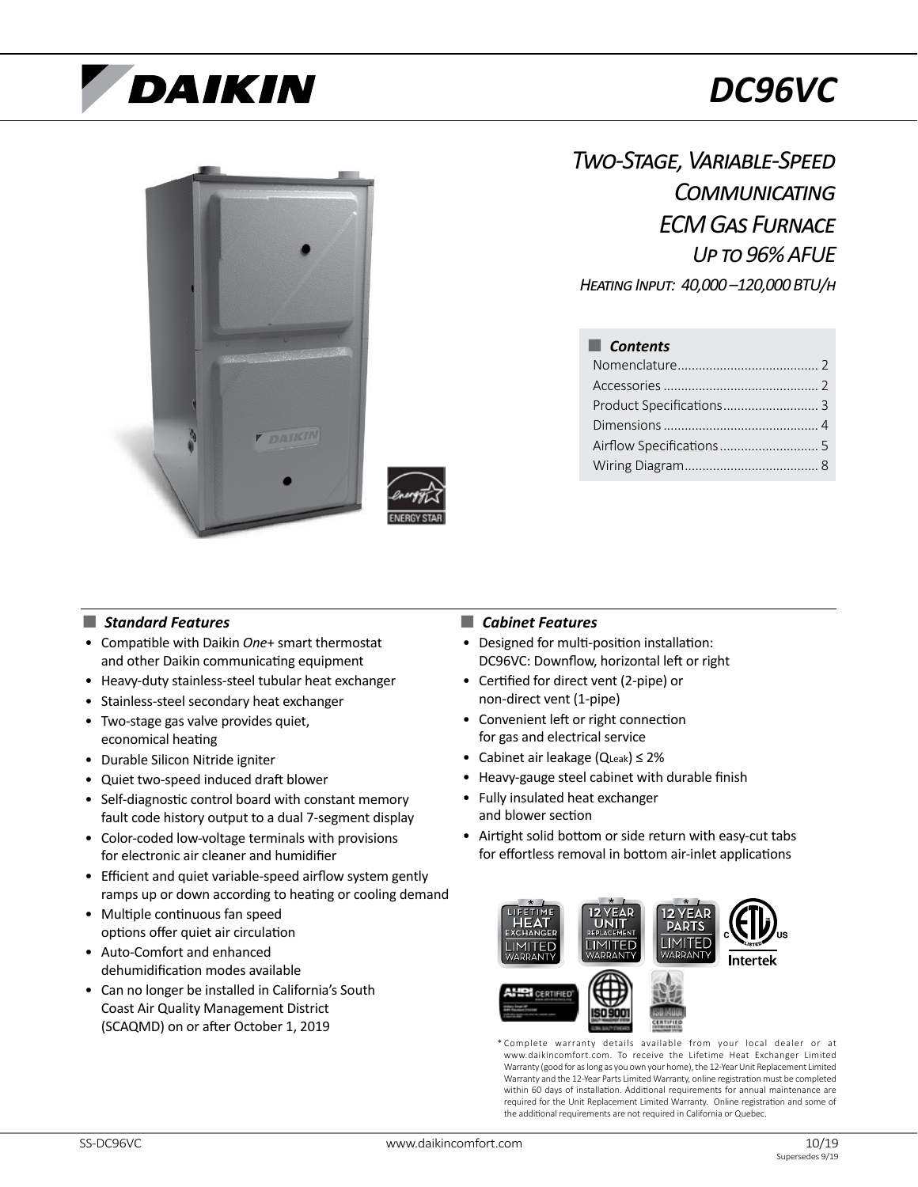# DAIKIN

# *DC96VC*



*Two-Stage, Variable-Speed Communicating ECM Gas Furnace Up to 96% AFUE*

*Heating Input: 40,000 –120,000 BTU/h*

## ■ *Contents*

## ■ *Standard Features* ■ *Cabinet Features*

- Compatible with Daikin *One*+ smart thermostat and other Daikin communicating equipment
- Heavy-duty stainless-steel tubular heat exchanger
- Stainless-steel secondary heat exchanger
- Two-stage gas valve provides quiet, economical heating
- Durable Silicon Nitride igniter
- Quiet two-speed induced draft blower
- Self-diagnostic control board with constant memory fault code history output to a dual 7-segment display
- Color-coded low-voltage terminals with provisions for electronic air cleaner and humidifier
- Efficient and quiet variable-speed airflow system gently ramps up or down according to heating or cooling demand
- Multiple continuous fan speed options offer quiet air circulation
- Auto-Comfort and enhanced dehumidification modes available
- Can no longer be installed in California's South Coast Air Quality Management District (SCAQMD) on or after October 1, 2019

- Designed for multi-position installation: DC96VC: Downflow, horizontal left or right
- Certified for direct vent (2-pipe) or non-direct vent (1-pipe)
- Convenient left or right connection for gas and electrical service
- Cabinet air leakage (QLeak) ≤ 2%
- Heavy-gauge steel cabinet with durable finish
- Fully insulated heat exchanger and blower section
- Airtight solid bottom or side return with easy-cut tabs for effortless removal in bottom air-inlet applications



\* Complete warranty details available from your local dealer or at www.daikincomfort.com. To receive the Lifetime Heat Exchanger Limited Warranty (good for as long as you own your home), the 12-Year Unit Replacement Limited Warranty and the 12-Year Parts Limited Warranty, online registration must be completed within 60 days of installation. Additional requirements for annual maintenance are required for the Unit Replacement Limited Warranty. Online registration and some of the additional requirements are not required in California or Quebec.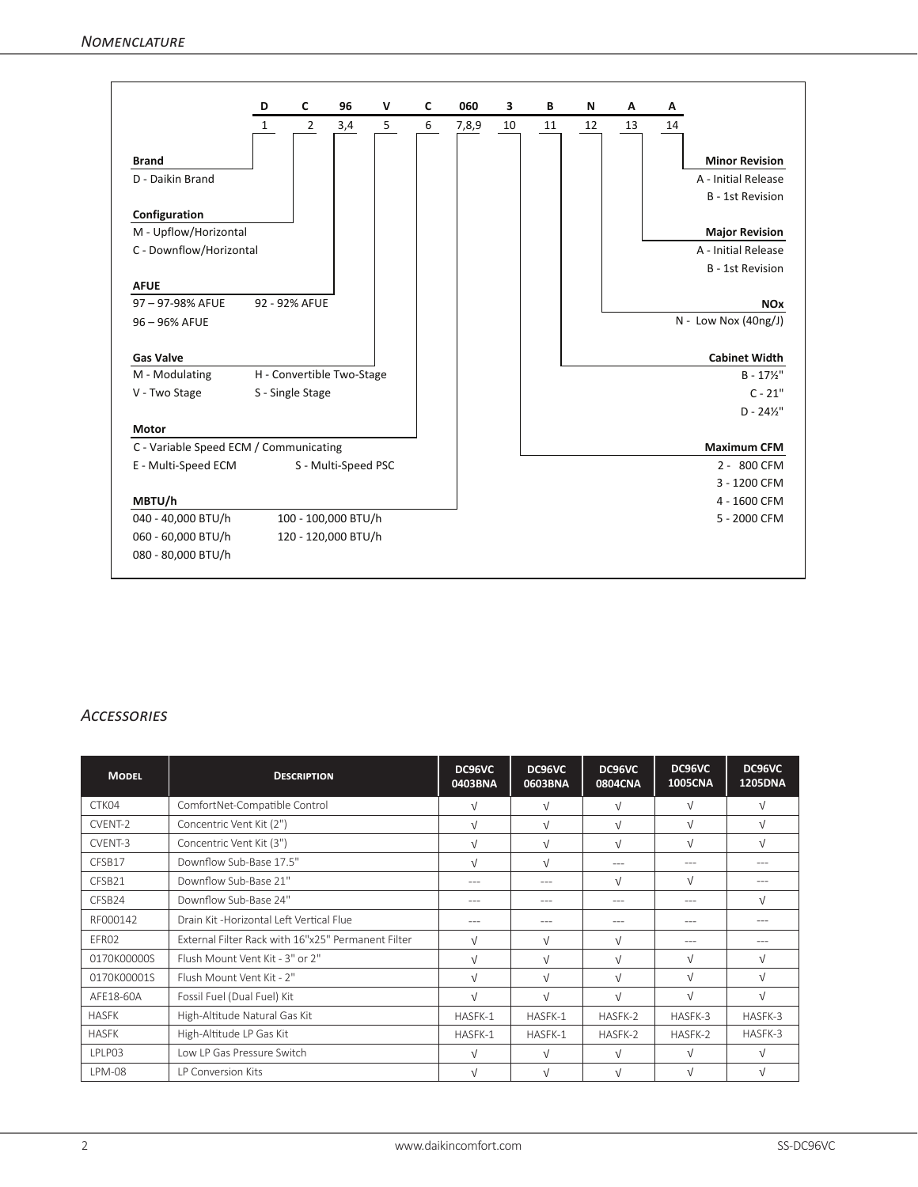|                                        | D            | C                | 96                        | V | C | 060   | 3  | В  | N  | Α  | А  |                         |
|----------------------------------------|--------------|------------------|---------------------------|---|---|-------|----|----|----|----|----|-------------------------|
|                                        | $\mathbf{1}$ | $\overline{2}$   | 3,4                       | 5 | 6 | 7,8,9 | 10 | 11 | 12 | 13 | 14 |                         |
| <b>Brand</b>                           |              |                  |                           |   |   |       |    |    |    |    |    | <b>Minor Revision</b>   |
| D - Daikin Brand                       |              |                  |                           |   |   |       |    |    |    |    |    | A - Initial Release     |
|                                        |              |                  |                           |   |   |       |    |    |    |    |    | <b>B</b> - 1st Revision |
| Configuration                          |              |                  |                           |   |   |       |    |    |    |    |    |                         |
| M - Upflow/Horizontal                  |              |                  |                           |   |   |       |    |    |    |    |    | <b>Major Revision</b>   |
| C - Downflow/Horizontal                |              |                  |                           |   |   |       |    |    |    |    |    | A - Initial Release     |
|                                        |              |                  |                           |   |   |       |    |    |    |    |    | B - 1st Revision        |
| <b>AFUE</b>                            |              |                  |                           |   |   |       |    |    |    |    |    |                         |
| 97-97-98% AFUE                         |              | 92 - 92% AFUE    |                           |   |   |       |    |    |    |    |    | <b>NOx</b>              |
| 96 - 96% AFUE                          |              |                  |                           |   |   |       |    |    |    |    |    | $N - Low Nov (40ng/J)$  |
|                                        |              |                  |                           |   |   |       |    |    |    |    |    |                         |
| <b>Gas Valve</b>                       |              |                  |                           |   |   |       |    |    |    |    |    | <b>Cabinet Width</b>    |
| M - Modulating                         |              |                  | H - Convertible Two-Stage |   |   |       |    |    |    |    |    | $B - 17\frac{1}{2}$ "   |
| V - Two Stage                          |              | S - Single Stage |                           |   |   |       |    |    |    |    |    | $C - 21"$               |
|                                        |              |                  |                           |   |   |       |    |    |    |    |    | $D - 24\frac{1}{2}$ "   |
| <b>Motor</b>                           |              |                  |                           |   |   |       |    |    |    |    |    |                         |
| C - Variable Speed ECM / Communicating |              |                  |                           |   |   |       |    |    |    |    |    | <b>Maximum CFM</b>      |
| E - Multi-Speed ECM                    |              |                  | S - Multi-Speed PSC       |   |   |       |    |    |    |    |    | 2 - 800 CFM             |
|                                        |              |                  |                           |   |   |       |    |    |    |    |    | 3 - 1200 CFM            |
| MBTU/h                                 |              |                  |                           |   |   |       |    |    |    |    |    | 4 - 1600 CFM            |
| 040 - 40,000 BTU/h                     |              |                  | 100 - 100,000 BTU/h       |   |   |       |    |    |    |    |    | 5 - 2000 CFM            |
| 060 - 60,000 BTU/h                     |              |                  | 120 - 120,000 BTU/h       |   |   |       |    |    |    |    |    |                         |
| 080 - 80,000 BTU/h                     |              |                  |                           |   |   |       |    |    |    |    |    |                         |

## *Accessories*

| <b>MODEL</b>  | <b>DESCRIPTION</b>                                 | DC96VC<br>0403BNA | DC96VC<br>0603BNA | DC96VC<br>0804CNA | DC96VC<br><b>1005CNA</b> | DC96VC<br><b>1205DNA</b> |
|---------------|----------------------------------------------------|-------------------|-------------------|-------------------|--------------------------|--------------------------|
| CTK04         | ComfortNet-Compatible Control                      | $\sqrt{ }$        | $\sqrt{ }$        | $\sqrt{ }$        | $\sqrt{ }$               | $\sqrt{ }$               |
| CVENT-2       | Concentric Vent Kit (2")                           | $\sqrt{ }$        | $\sqrt{ }$        | $\sqrt{ }$        | $\sqrt{ }$               | $\sqrt{ }$               |
| CVENT-3       | Concentric Vent Kit (3")                           | $\sqrt{ }$        | $\sqrt{ }$        | $\sqrt{ }$        | $\sqrt{ }$               | $\sqrt{ }$               |
| CFSB17        | Downflow Sub-Base 17.5"                            | $\sqrt{ }$        | $\sqrt{ }$        | $- - -$           | ---                      | $- - -$                  |
| CFSB21        | Downflow Sub-Base 21"                              | $-- -$            | $- - -$           | $\sqrt{ }$        | $\sqrt{ }$               | $---$                    |
| CFSB24        | Downflow Sub-Base 24"                              | ---               | ---               | $- - -$           | $---$                    | $\sqrt{ }$               |
| RF000142      | Drain Kit -Horizontal Left Vertical Flue           | $-- -$            | $- - -$           | $- - -$           | $---$                    | $---$                    |
| EFR02         | External Filter Rack with 16"x25" Permanent Filter | $\sqrt{ }$        | $\sqrt{ }$        | $\sqrt{ }$        | $- - -$                  | $- - -$                  |
| 0170K00000S   | Flush Mount Vent Kit - 3" or 2"                    | $\sqrt{ }$        | $\sqrt{ }$        | $\sqrt{ }$        | $\sqrt{ }$               | $\sqrt{ }$               |
| 0170K00001S   | Flush Mount Vent Kit - 2"                          | $\sqrt{ }$        | $\sqrt{ }$        | $\sqrt{ }$        | $\sqrt{ }$               | $\sqrt{ }$               |
| AFE18-60A     | Fossil Fuel (Dual Fuel) Kit                        | $\sqrt{ }$        | $\sqrt{ }$        | $\sqrt{ }$        | $\sqrt{ }$               | $\sqrt{ }$               |
| <b>HASFK</b>  | High-Altitude Natural Gas Kit                      | HASFK-1           | HASFK-1           | HASFK-2           | HASFK-3                  | HASFK-3                  |
| <b>HASFK</b>  | High-Altitude LP Gas Kit                           | HASFK-1           | HASFK-1           | HASFK-2           | HASFK-2                  | HASFK-3                  |
| LPLP03        | Low LP Gas Pressure Switch                         | $\sqrt{ }$        | $\sqrt{ }$        | $\sqrt{ }$        | $\sqrt{ }$               | $\sqrt{ }$               |
| <b>LPM-08</b> | <b>IP Conversion Kits</b>                          | $\sqrt{ }$        | $\sqrt{ }$        | $\sqrt{ }$        | $\sqrt{ }$               | $\sqrt{ }$               |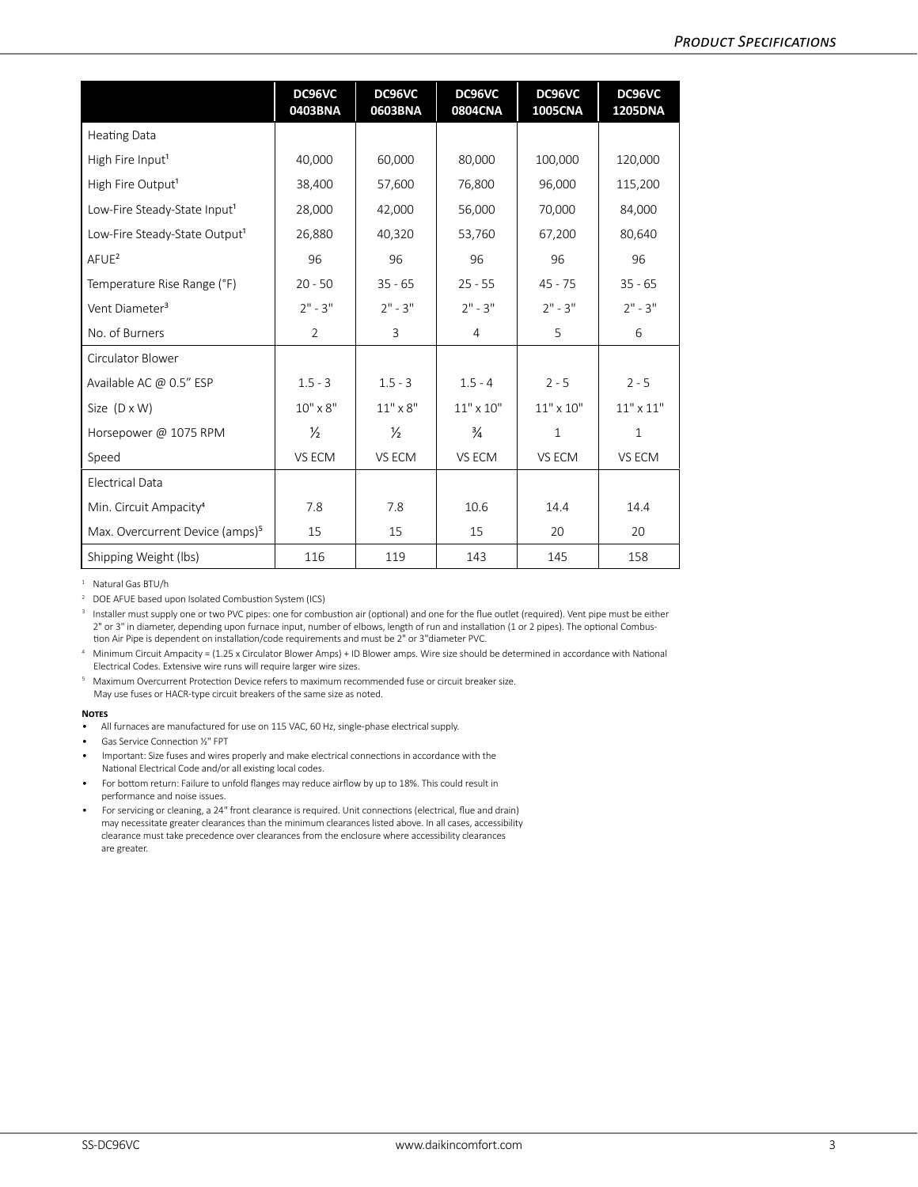|                                             | DC96VC<br>0403BNA | DC96VC<br>0603BNA | DC96VC<br><b>0804CNA</b> | DC96VC<br><b>1005CNA</b> | DC96VC<br><b>1205DNA</b> |
|---------------------------------------------|-------------------|-------------------|--------------------------|--------------------------|--------------------------|
| <b>Heating Data</b>                         |                   |                   |                          |                          |                          |
| High Fire Input <sup>1</sup>                | 40,000            | 60,000            | 80,000                   | 100,000                  | 120,000                  |
| High Fire Output <sup>1</sup>               | 38,400            | 57,600            | 76,800                   | 96,000                   | 115,200                  |
| Low-Fire Steady-State Input <sup>1</sup>    | 28,000            | 42,000            | 56,000                   | 70,000                   | 84,000                   |
| Low-Fire Steady-State Output1               | 26,880            | 40,320            | 53,760                   | 67,200                   | 80,640                   |
| $A$ FUE <sup>2</sup>                        | 96                | 96                | 96                       | 96                       | 96                       |
| Temperature Rise Range (°F)                 | $20 - 50$         | $35 - 65$         | $25 - 55$                | $45 - 75$                | $35 - 65$                |
| Vent Diameter <sup>3</sup>                  | $2" - 3"$         | $2" - 3"$         | $2" - 3"$                | $2" - 3"$                | $2" - 3"$                |
| No. of Burners                              | $\overline{2}$    | 3                 | 4                        | 5                        | 6                        |
| Circulator Blower                           |                   |                   |                          |                          |                          |
| Available AC @ 0.5" ESP                     | $1.5 - 3$         | $1.5 - 3$         | $1.5 - 4$                | $2 - 5$                  | $2 - 5$                  |
| Size $(D \times W)$                         | $10'' \times 8''$ | $11" \times 8"$   | $11" \times 10"$         | $11" \times 10"$         | $11" \times 11"$         |
| Horsepower @ 1075 RPM                       | $\frac{1}{2}$     | $\frac{1}{2}$     | $\frac{3}{4}$            | $\mathbf{1}$             | $\mathbf{1}$             |
| Speed                                       | VS ECM            | VS ECM            | VS ECM                   | VS ECM                   | VS ECM                   |
| <b>Electrical Data</b>                      |                   |                   |                          |                          |                          |
| Min. Circuit Ampacity <sup>4</sup>          | 7.8               | 7.8               | 10.6                     | 14.4                     | 14.4                     |
| Max. Overcurrent Device (amps) <sup>5</sup> | 15                | 15                | 15                       | 20                       | 20                       |
| Shipping Weight (lbs)                       | 116               | 119               | 143                      | 145                      | 158                      |

<sup>1</sup> Natural Gas BTU/h

<sup>2</sup> DOE AFUE based upon Isolated Combustion System (ICS)

<sup>3</sup> Installer must supply one or two PVC pipes: one for combustion air (optional) and one for the flue outlet (required). Vent pipe must be either 2" or 3" in diameter, depending upon furnace input, number of elbows, length of run and installation (1 or 2 pipes). The optional Combustion Air Pipe is dependent on installation/code requirements and must be 2" or 3"diameter PVC.

<sup>4</sup> Minimum Circuit Ampacity = (1.25 x Circulator Blower Amps) + ID Blower amps. Wire size should be determined in accordance with National Electrical Codes. Extensive wire runs will require larger wire sizes.

<sup>5</sup> Maximum Overcurrent Protection Device refers to maximum recommended fuse or circuit breaker size. May use fuses or HACR-type circuit breakers of the same size as noted.

### **Notes**

- Gas Service Connection ½" FPT
- Important: Size fuses and wires properly and make electrical connections in accordance with the National Electrical Code and/or all existing local codes.
- For bottom return: Failure to unfold flanges may reduce airflow by up to 18%. This could result in performance and noise issues.
- For servicing or cleaning, a 24" front clearance is required. Unit connections (electrical, flue and drain) may necessitate greater clearances than the minimum clearances listed above. In all cases, accessibility clearance must take precedence over clearances from the enclosure where accessibility clearances are greater.

<sup>•</sup> All furnaces are manufactured for use on 115 VAC, 60 Hz, single-phase electrical supply.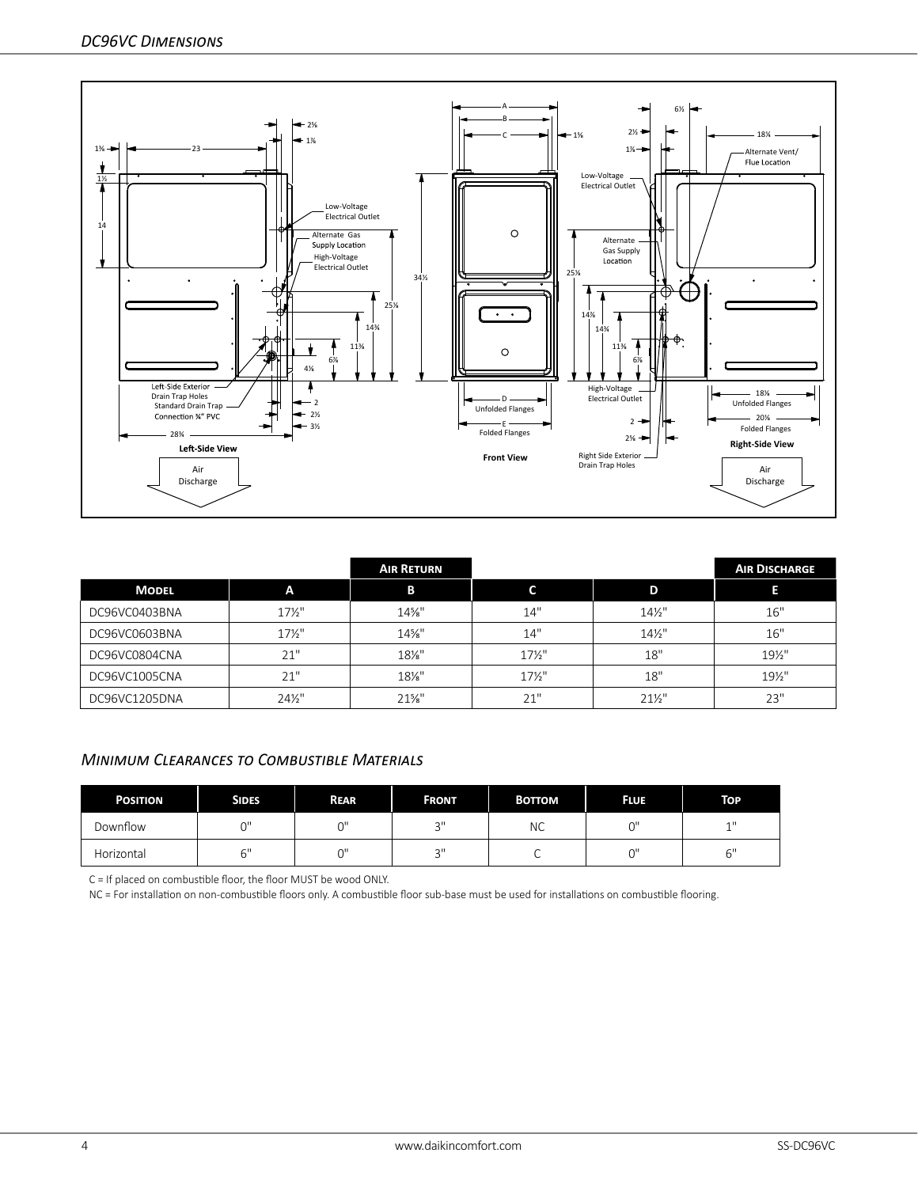

|               |                   | <b>AIR RETURN</b> |                 |                 | <b>AIR DISCHARGE</b> |
|---------------|-------------------|-------------------|-----------------|-----------------|----------------------|
| <b>MODEL</b>  | A                 | В                 |                 | D               | Е                    |
| DC96VC0403BNA | $17\frac{1}{2}$   | $14\%$ "          | 14"             | $14\frac{1}{2}$ | 16"                  |
| DC96VC0603BNA | $17\frac{1}{2}$   | $14\%$ "          | 14"             | $14\frac{1}{2}$ | 16"                  |
| DC96VC0804CNA | 21"               | $18\%$ "          | $17\frac{1}{2}$ | 18"             | 19½"                 |
| DC96VC1005CNA | 21"               | $18\%$ "          | $17\frac{1}{2}$ | 18"             | 19½"                 |
| DC96VC1205DNA | $24\frac{1}{2}$ " | $21\%$ "          | 21"             | $21\frac{1}{2}$ | 23"                  |

## *Minimum Clearances to Combustible Materials*

| <b>POSITION</b> | <b>SIDES</b> | <b>REAR</b> | <b>FRONT</b>   | <b>BOTTOM</b> | <b>FLUE</b> | <b>TOP</b>  |
|-----------------|--------------|-------------|----------------|---------------|-------------|-------------|
| Downflow        | $\sim$       | $\sim$      | $\bigcap$      | NС            | កា          | 4H          |
| Horizontal      | ∼''          | $\sim$      | $\bigcap$<br>ب | ∼             |             | $\sim$<br>ь |

C = If placed on combustible floor, the floor MUST be wood ONLY.

NC = For installation on non-combustible floors only. A combustible floor sub-base must be used for installations on combustible flooring.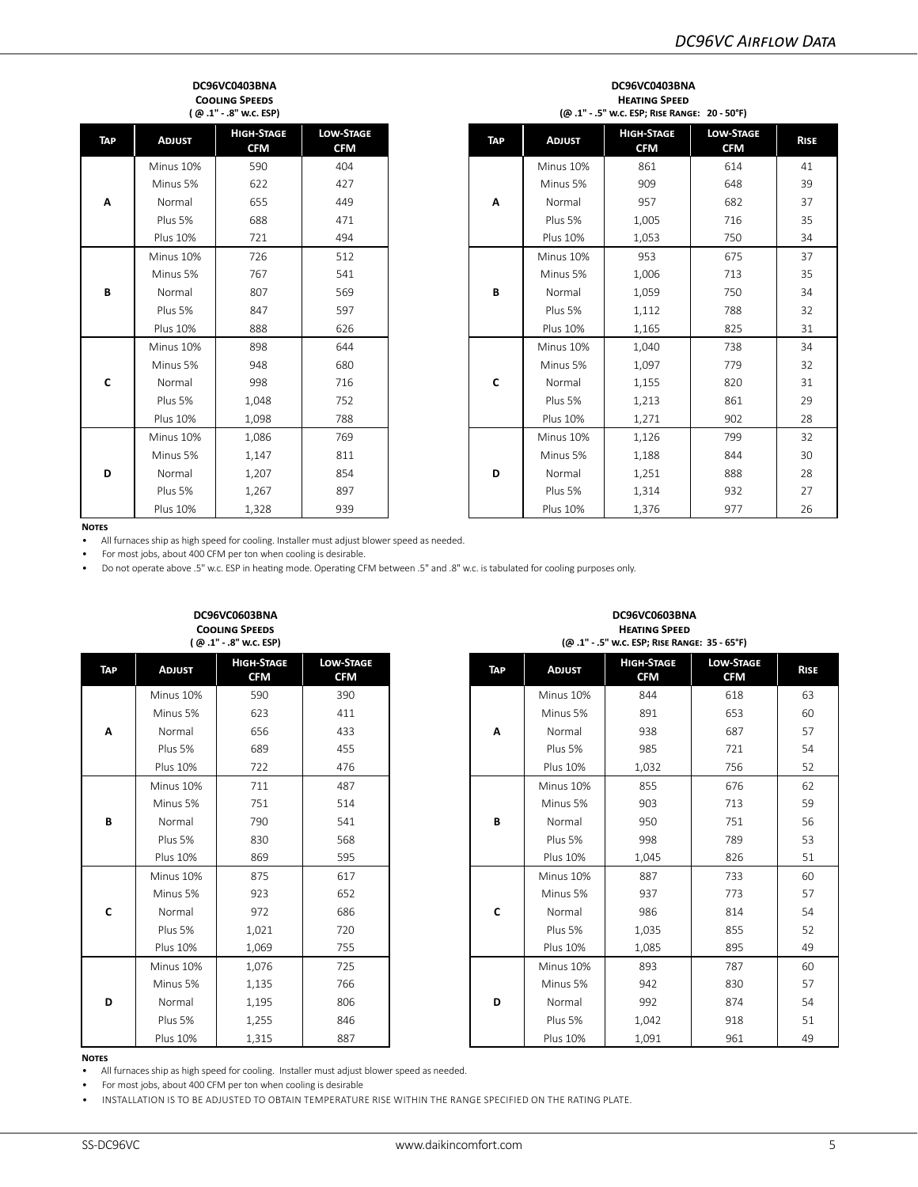#### **DC96VC0403BNA Cooling Speeds ( @ .1" - .8" w.c. ESP)**

| - - - - ۱  |                 |                                 |                                |  |  |  |  |  |  |  |
|------------|-----------------|---------------------------------|--------------------------------|--|--|--|--|--|--|--|
| <b>TAP</b> | <b>ADJUST</b>   | <b>HIGH-STAGE</b><br><b>CFM</b> | <b>LOW-STAGE</b><br><b>CFM</b> |  |  |  |  |  |  |  |
| A          | Minus 10%       | 590                             | 404                            |  |  |  |  |  |  |  |
|            | Minus 5%        | 622                             | 427                            |  |  |  |  |  |  |  |
|            | Normal          | 655                             | 449                            |  |  |  |  |  |  |  |
|            | Plus 5%         | 688                             | 471                            |  |  |  |  |  |  |  |
|            | <b>Plus 10%</b> | 721                             | 494                            |  |  |  |  |  |  |  |
|            | Minus 10%       | 726                             | 512                            |  |  |  |  |  |  |  |
|            | Minus 5%        | 767                             | 541                            |  |  |  |  |  |  |  |
| B          | Normal          | 807                             | 569                            |  |  |  |  |  |  |  |
|            | Plus 5%         | 847                             | 597                            |  |  |  |  |  |  |  |
|            | <b>Plus 10%</b> | 888                             | 626                            |  |  |  |  |  |  |  |
|            | Minus 10%       | 898                             | 644                            |  |  |  |  |  |  |  |
|            | Minus 5%        | 948                             | 680                            |  |  |  |  |  |  |  |
| C          | Normal          | 998                             | 716                            |  |  |  |  |  |  |  |
|            | Plus 5%         | 1,048                           | 752                            |  |  |  |  |  |  |  |
|            | <b>Plus 10%</b> | 1,098                           | 788                            |  |  |  |  |  |  |  |
|            | Minus 10%       | 1,086                           | 769                            |  |  |  |  |  |  |  |
|            | Minus 5%        | 1,147                           | 811                            |  |  |  |  |  |  |  |
| D          | Normal          | 1,207                           | 854                            |  |  |  |  |  |  |  |
|            | Plus 5%         | 1,267                           | 897                            |  |  |  |  |  |  |  |
|            | <b>Plus 10%</b> | 1,328                           | 939                            |  |  |  |  |  |  |  |

|                                                  | (@.1" - .8" w.c. ESP) |                                | (@.1" - .5" w.c. ESP; RISE RANGE: 20 - 50°F) |     |                 |                                 |                                |             |  |  |
|--------------------------------------------------|-----------------------|--------------------------------|----------------------------------------------|-----|-----------------|---------------------------------|--------------------------------|-------------|--|--|
| <b>HIGH-STAGE</b><br><b>ADJUST</b><br><b>CFM</b> |                       | <b>LOW-STAGE</b><br><b>CFM</b> |                                              | TAP | <b>ADJUST</b>   | <b>HIGH-STAGE</b><br><b>CFM</b> | <b>LOW-STAGE</b><br><b>CFM</b> | <b>RISE</b> |  |  |
| Minus 10%                                        | 590                   | 404                            |                                              |     | Minus 10%       | 861                             | 614                            | 41          |  |  |
| Minus 5%                                         | 622                   | 427                            |                                              |     | Minus 5%        | 909                             | 648                            | 39          |  |  |
| Normal                                           | 655                   | 449                            |                                              | Α   | Normal          | 957                             | 682                            | 37          |  |  |
| Plus 5%                                          | 688                   | 471                            |                                              |     | Plus 5%         | 1,005                           | 716                            | 35          |  |  |
| <b>Plus 10%</b>                                  | 721                   | 494                            |                                              |     | <b>Plus 10%</b> | 1,053                           | 750                            | 34          |  |  |
| Minus 10%                                        | 726                   | 512                            |                                              |     | Minus 10%       | 953                             | 675                            | 37          |  |  |
| Minus 5%                                         | 767                   | 541                            |                                              |     | Minus 5%        | 1,006                           | 713                            | 35          |  |  |
| Normal                                           | 807                   | 569                            |                                              | B   | Normal          | 1,059                           | 750                            | 34          |  |  |
| Plus 5%                                          | 847                   | 597                            |                                              |     | Plus 5%         | 1,112                           | 788                            | 32          |  |  |
| <b>Plus 10%</b>                                  | 888                   | 626                            |                                              |     | <b>Plus 10%</b> | 1,165                           | 825                            | 31          |  |  |
| Minus 10%                                        | 898                   | 644                            |                                              |     | Minus 10%       | 1,040                           | 738                            | 34          |  |  |
| Minus 5%                                         | 948                   | 680                            |                                              |     | Minus 5%        | 1,097                           | 779                            | 32          |  |  |
| Normal                                           | 998                   | 716                            |                                              | C   | Normal          | 1,155                           | 820                            | 31          |  |  |
| Plus 5%                                          | 1,048                 | 752                            |                                              |     | Plus 5%         | 1,213                           | 861                            | 29          |  |  |
| Plus 10%                                         | 1,098                 | 788                            |                                              |     | <b>Plus 10%</b> | 1,271                           | 902                            | 28          |  |  |
| Minus 10%                                        | 1,086                 | 769                            |                                              |     | Minus 10%       | 1,126                           | 799                            | 32          |  |  |
| Minus 5%                                         | 1,147                 | 811                            |                                              |     | Minus 5%        | 1,188                           | 844                            | 30          |  |  |
| Normal                                           | 1,207                 | 854                            |                                              | D   | Normal          | 1,251                           | 888                            | 28          |  |  |
| Plus 5%                                          | 1,267                 | 897                            |                                              |     | Plus 5%         | 1,314                           | 932                            | 27          |  |  |
| <b>Plus 10%</b>                                  | 1,328                 | 939                            |                                              |     | <b>Plus 10%</b> | 1,376                           | 977                            | 26          |  |  |

**DC96VC0403BNA Heating Speed**

### **Notes**

• All furnaces ship as high speed for cooling. Installer must adjust blower speed as needed.

• For most jobs, about 400 CFM per ton when cooling is desirable.

**DC96VC0603BNA**

• Do not operate above .5" w.c. ESP in heating mode. Operating CFM between .5" and .8" w.c. is tabulated for cooling purposes only.

| <b>COOLING SPEEDS</b><br>(@.1" - .8" w.c. ESP) |                 |                                 |                                |  |  |  |  |  |  |
|------------------------------------------------|-----------------|---------------------------------|--------------------------------|--|--|--|--|--|--|
| <b>TAP</b>                                     | <b>ADJUST</b>   | <b>HIGH-STAGE</b><br><b>CFM</b> | <b>LOW-STAGE</b><br><b>CFM</b> |  |  |  |  |  |  |
|                                                | Minus 10%       | 590                             | 390                            |  |  |  |  |  |  |
|                                                | Minus 5%        | 623                             | 411                            |  |  |  |  |  |  |
| A                                              | Normal          | 656                             | 433                            |  |  |  |  |  |  |
|                                                | Plus 5%         | 689                             | 455                            |  |  |  |  |  |  |
|                                                | <b>Plus 10%</b> | 722                             | 476                            |  |  |  |  |  |  |
|                                                | Minus 10%       | 711                             | 487                            |  |  |  |  |  |  |
|                                                | Minus 5%        | 751                             | 514                            |  |  |  |  |  |  |
| B                                              | Normal          | 790                             | 541                            |  |  |  |  |  |  |
|                                                | Plus 5%         | 830                             | 568                            |  |  |  |  |  |  |
|                                                | <b>Plus 10%</b> | 869                             | 595                            |  |  |  |  |  |  |
|                                                | Minus 10%       | 875                             | 617                            |  |  |  |  |  |  |
|                                                | Minus 5%        | 923                             | 652                            |  |  |  |  |  |  |
| C                                              | Normal          | 972                             | 686                            |  |  |  |  |  |  |
|                                                | Plus 5%         | 1,021                           | 720                            |  |  |  |  |  |  |
|                                                | <b>Plus 10%</b> | 1,069                           | 755                            |  |  |  |  |  |  |
|                                                | Minus 10%       | 1,076                           | 725                            |  |  |  |  |  |  |
|                                                | Minus 5%        | 1,135                           | 766                            |  |  |  |  |  |  |
| D                                              | Normal          | 1,195                           | 806                            |  |  |  |  |  |  |
|                                                | Plus 5%         | 1,255                           | 846                            |  |  |  |  |  |  |
|                                                | <b>Plus 10%</b> | 1,315                           | 887                            |  |  |  |  |  |  |

|                 | <b>COOLING SPEEDS</b><br>(@.1" - .8" w.c. ESP) |                                | <b>HEATING SPEED</b><br>(@.1" - .5" w.c. ESP; RISE RANGE: 35 - 65°F) |     |                 |                                 |                                |             |
|-----------------|------------------------------------------------|--------------------------------|----------------------------------------------------------------------|-----|-----------------|---------------------------------|--------------------------------|-------------|
| <b>ADJUST</b>   | <b>HIGH-STAGE</b><br><b>CFM</b>                | <b>LOW-STAGE</b><br><b>CFM</b> |                                                                      | TAP | <b>ADJUST</b>   | <b>HIGH-STAGE</b><br><b>CFM</b> | <b>LOW-STAGE</b><br><b>CFM</b> | <b>RISE</b> |
| Minus 10%       | 590                                            | 390                            |                                                                      |     | Minus 10%       | 844                             | 618                            | 63          |
| Minus 5%        | 623                                            | 411                            |                                                                      |     | Minus 5%        | 891                             | 653                            | 60          |
| Normal          | 656                                            | 433                            |                                                                      | Α   | Normal          | 938                             | 687                            | 57          |
| Plus 5%         | 689                                            | 455                            |                                                                      |     | Plus 5%         | 985                             | 721                            | 54          |
| <b>Plus 10%</b> | 722                                            | 476                            |                                                                      |     | <b>Plus 10%</b> | 1,032                           | 756                            | 52          |
| Minus 10%       | 711                                            | 487                            |                                                                      |     | Minus 10%       | 855                             | 676                            | 62          |
| Minus 5%        | 751                                            | 514                            |                                                                      |     | Minus 5%        | 903                             | 713                            | 59          |
| Normal          | 790                                            | 541                            |                                                                      | B   | Normal          | 950                             | 751                            | 56          |
| Plus 5%         | 830                                            | 568                            |                                                                      |     | Plus 5%         | 998                             | 789                            | 53          |
| <b>Plus 10%</b> | 869                                            | 595                            |                                                                      |     | <b>Plus 10%</b> | 1,045                           | 826                            | 51          |
| Minus 10%       | 875                                            | 617                            |                                                                      |     | Minus 10%       | 887                             | 733                            | 60          |
| Minus 5%        | 923                                            | 652                            |                                                                      |     | Minus 5%        | 937                             | 773                            | 57          |
| Normal          | 972                                            | 686                            |                                                                      | C   | Normal          | 986                             | 814                            | 54          |
| Plus 5%         | 1,021                                          | 720                            |                                                                      |     | Plus 5%         | 1,035                           | 855                            | 52          |
| <b>Plus 10%</b> | 1,069                                          | 755                            |                                                                      |     | <b>Plus 10%</b> | 1,085                           | 895                            | 49          |
| Minus 10%       | 1,076                                          | 725                            |                                                                      |     | Minus 10%       | 893                             | 787                            | 60          |
| Minus 5%        | 1,135                                          | 766                            |                                                                      |     | Minus 5%        | 942                             | 830                            | 57          |
| Normal          | 1,195                                          | 806                            |                                                                      | D   | Normal          | 992                             | 874                            | 54          |
| Plus 5%         | 1,255                                          | 846                            |                                                                      |     | Plus 5%         | 1,042                           | 918                            | 51          |
| <b>Plus 10%</b> | 1,315                                          | 887                            |                                                                      |     | <b>Plus 10%</b> | 1,091                           | 961                            | 49          |

**DC96VC0603BNA**

#### **Notes**

• All furnaces ship as high speed for cooling. Installer must adjust blower speed as needed.

• For most jobs, about 400 CFM per ton when cooling is desirable

• INSTALLATION IS TO BE ADJUSTED TO OBTAIN TEMPERATURE RISE WITHIN THE RANGE SPECIFIED ON THE RATING PLATE.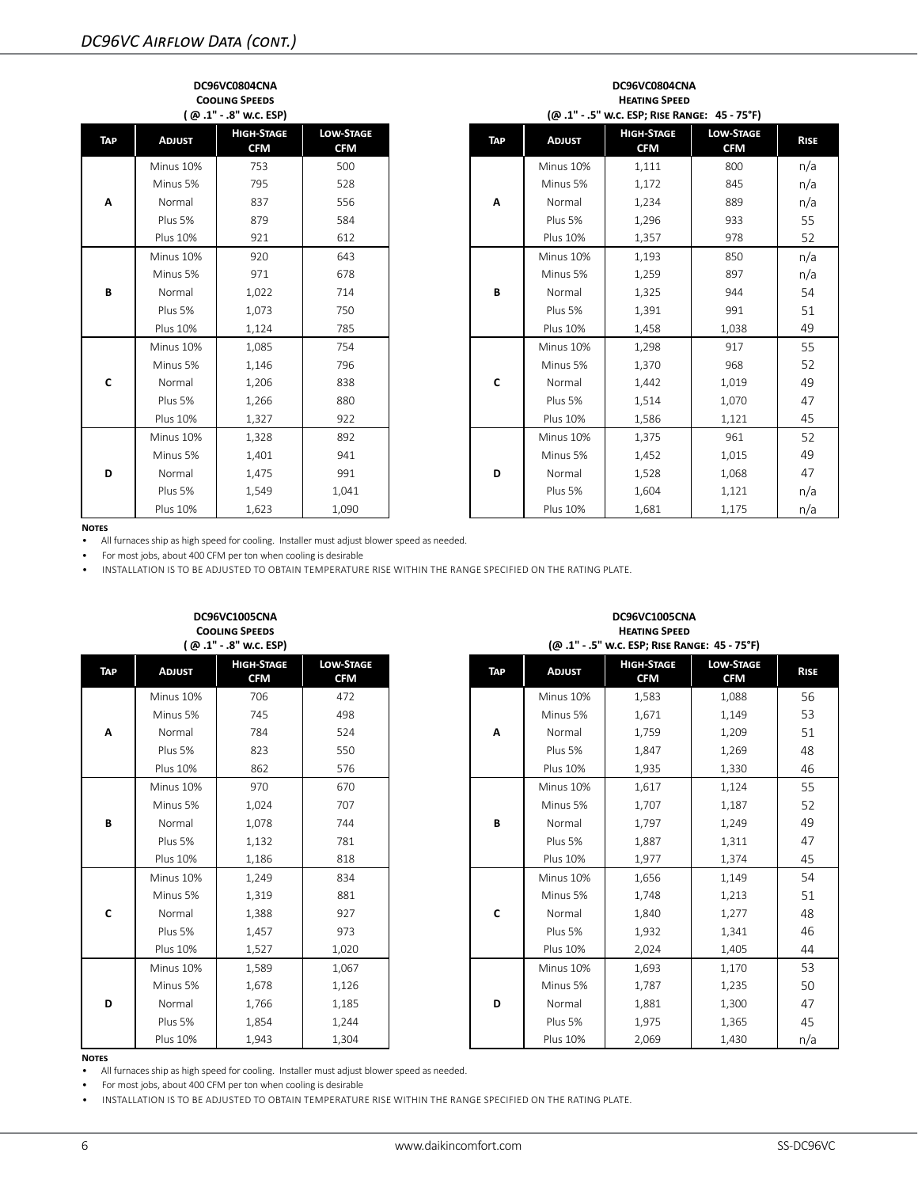|  |     |                 | DC96VC0804CNA<br><b>COOLING SPEEDS</b><br>(@.1" -.8" w.c. ESP) |                                |   | DC96VC0804CNA<br><b>HEATING SPEED</b><br>(@.1" - .5" w.c. ESP; RISE RANGE: 45 - 75°F) |                 |                                 |                                |             |  |  |
|--|-----|-----------------|----------------------------------------------------------------|--------------------------------|---|---------------------------------------------------------------------------------------|-----------------|---------------------------------|--------------------------------|-------------|--|--|
|  | TAP | <b>ADJUST</b>   | <b>HIGH-STAGE</b><br><b>CFM</b>                                | <b>LOW-STAGE</b><br><b>CFM</b> |   | <b>TAP</b>                                                                            | <b>ADJUST</b>   | <b>HIGH-STAGE</b><br><b>CFM</b> | <b>LOW-STAGE</b><br><b>CFM</b> | <b>RISE</b> |  |  |
|  |     | Minus 10%       | 753                                                            | 500                            |   |                                                                                       | Minus 10%       | 1,111                           | 800                            | n/a         |  |  |
|  |     | Minus 5%        | 795                                                            | 528                            |   |                                                                                       | Minus 5%        | 1,172                           | 845                            | n/a         |  |  |
|  | Α   | Normal          | 837                                                            | 556                            |   | A                                                                                     | Normal          | 1,234                           | 889                            | n/a         |  |  |
|  |     | Plus 5%         | 879                                                            | 584                            |   |                                                                                       | Plus 5%         | 1,296                           | 933                            | 55          |  |  |
|  |     | <b>Plus 10%</b> | 921                                                            | 612                            |   |                                                                                       | <b>Plus 10%</b> | 1,357                           | 978                            | 52          |  |  |
|  |     | Minus 10%       | 920                                                            | 643                            |   |                                                                                       | Minus 10%       | 1,193                           | 850                            | n/a         |  |  |
|  |     | Minus 5%        | 971                                                            | 678                            |   |                                                                                       | Minus 5%        | 1,259                           | 897                            | n/a         |  |  |
|  | B   | Normal          | 1,022                                                          | 714                            |   | B                                                                                     | Normal          | 1,325                           | 944                            | 54          |  |  |
|  |     | Plus 5%         | 1,073                                                          | 750                            |   |                                                                                       | Plus 5%         | 1,391                           | 991                            | 51          |  |  |
|  |     | <b>Plus 10%</b> | 1,124                                                          | 785                            |   |                                                                                       | <b>Plus 10%</b> | 1,458                           | 1,038                          | 49          |  |  |
|  |     | Minus 10%       | 1,085                                                          | 754                            |   |                                                                                       | Minus 10%       | 1,298                           | 917                            | 55          |  |  |
|  |     | Minus 5%        | 1,146                                                          | 796                            |   |                                                                                       | Minus 5%        | 1,370                           | 968                            | 52          |  |  |
|  | C   | Normal          | 1,206                                                          | 838                            |   | C                                                                                     | Normal          | 1,442                           | 1,019                          | 49          |  |  |
|  |     | Plus 5%         | 1,266                                                          | 880                            |   |                                                                                       | Plus 5%         | 1,514                           | 1,070                          | 47          |  |  |
|  |     | <b>Plus 10%</b> | 1,327                                                          | 922                            |   |                                                                                       | <b>Plus 10%</b> | 1,586                           | 1,121                          | 45          |  |  |
|  |     | Minus 10%       | 1,328                                                          | 892                            |   |                                                                                       | Minus 10%       | 1,375                           | 961                            | 52          |  |  |
|  |     | Minus 5%        | 1,401                                                          | 941                            | D | Minus 5%                                                                              | 1,452           | 1,015                           | 49                             |             |  |  |
|  | D   | Normal          | 1,475                                                          | 991                            |   | Normal                                                                                | 1,528           | 1,068                           | 47                             |             |  |  |
|  |     | Plus 5%         | 1,549                                                          | 1,041                          |   |                                                                                       | Plus 5%         | 1,604                           | 1,121                          | n/a         |  |  |
|  |     | <b>Plus 10%</b> | 1,623                                                          | 1,090                          |   |                                                                                       | <b>Plus 10%</b> | 1,681                           | 1,175                          | n/a         |  |  |

## **Notes**<br>• All

• All furnaces ship as high speed for cooling. Installer must adjust blower speed as needed.

• For most jobs, about 400 CFM per ton when cooling is desirable

• INSTALLATION IS TO BE ADJUSTED TO OBTAIN TEMPERATURE RISE WITHIN THE RANGE SPECIFIED ON THE RATING PLATE.

| <b>COOLING SPEEDS</b><br>(@.1" - .8" w.c. ESP) |                 |                                 |                                |  |  |  |  |  |  |  |
|------------------------------------------------|-----------------|---------------------------------|--------------------------------|--|--|--|--|--|--|--|
| TAP                                            | <b>ADJUST</b>   | <b>HIGH-STAGE</b><br><b>CFM</b> | <b>LOW-STAGE</b><br><b>CFM</b> |  |  |  |  |  |  |  |
|                                                | Minus 10%       | 706                             | 472                            |  |  |  |  |  |  |  |
|                                                | Minus 5%        | 745                             | 498                            |  |  |  |  |  |  |  |
| Α                                              | Normal          | 784                             | 524                            |  |  |  |  |  |  |  |
|                                                | Plus 5%         | 823                             | 550                            |  |  |  |  |  |  |  |
|                                                | <b>Plus 10%</b> | 862                             | 576                            |  |  |  |  |  |  |  |
|                                                | Minus 10%       | 970                             | 670                            |  |  |  |  |  |  |  |
|                                                | Minus 5%        | 1,024                           | 707                            |  |  |  |  |  |  |  |
| B                                              | Normal          | 1,078                           | 744                            |  |  |  |  |  |  |  |
|                                                | Plus 5%         | 1,132                           | 781                            |  |  |  |  |  |  |  |
|                                                | <b>Plus 10%</b> | 1,186                           | 818                            |  |  |  |  |  |  |  |
|                                                | Minus 10%       | 1,249                           | 834                            |  |  |  |  |  |  |  |
|                                                | Minus 5%        | 1,319                           | 881                            |  |  |  |  |  |  |  |
| C                                              | Normal          | 1,388                           | 927                            |  |  |  |  |  |  |  |
|                                                | Plus 5%         | 1,457                           | 973                            |  |  |  |  |  |  |  |
|                                                | <b>Plus 10%</b> | 1,527                           | 1,020                          |  |  |  |  |  |  |  |
|                                                | Minus 10%       | 1,589                           | 1,067                          |  |  |  |  |  |  |  |
|                                                | Minus 5%        | 1,678                           | 1,126                          |  |  |  |  |  |  |  |
| D                                              | Normal          | 1,766                           | 1,185                          |  |  |  |  |  |  |  |
|                                                | Plus 5%         | 1,854                           | 1,244                          |  |  |  |  |  |  |  |
|                                                | <b>Plus 10%</b> | 1.943                           | 1.304                          |  |  |  |  |  |  |  |

| <b>COOLING SPEEDS</b><br>(@.1" -.8" w.c. ESP) |                                 |                                | <b>HEATING SPEED</b><br>(@.1" .5" w.c. ESP; RISE RANGE: 45 - 75°F) |                 |                                 |                                |             |  |
|-----------------------------------------------|---------------------------------|--------------------------------|--------------------------------------------------------------------|-----------------|---------------------------------|--------------------------------|-------------|--|
| <b>ADJUST</b>                                 | <b>HIGH-STAGE</b><br><b>CFM</b> | <b>LOW-STAGE</b><br><b>CFM</b> | TAP                                                                | <b>ADJUST</b>   | <b>HIGH-STAGE</b><br><b>CFM</b> | <b>LOW-STAGE</b><br><b>CFM</b> | <b>RISE</b> |  |
| Minus 10%                                     | 706                             | 472                            |                                                                    | Minus 10%       | 1,583                           | 1,088                          |             |  |
| Minus 5%                                      | 745                             | 498                            |                                                                    | Minus 5%        | 1,671                           | 1,149                          |             |  |
| Normal                                        | 784                             | 524                            | A                                                                  | Normal          | 1,759                           | 1,209                          |             |  |
| Plus 5%                                       | 823                             | 550                            |                                                                    | Plus 5%         | 1,847                           | 1,269                          |             |  |
| <b>Plus 10%</b>                               | 862                             | 576                            |                                                                    | <b>Plus 10%</b> | 1,935                           | 1,330                          | 46          |  |
| Minus 10%                                     | 970                             | 670                            |                                                                    | Minus 10%       | 1,617                           | 1,124                          |             |  |
| Minus 5%                                      | 1,024                           | 707                            |                                                                    | Minus 5%        | 1,707                           | 1,187                          |             |  |
| Normal                                        | 1,078                           | 744                            | В                                                                  | Normal          | 1,797                           | 1,249                          | 49          |  |
| Plus 5%                                       | 1,132                           | 781                            |                                                                    | Plus 5%         | 1,887                           | 1,311                          | 47          |  |
| <b>Plus 10%</b>                               | 1,186                           | 818                            |                                                                    | <b>Plus 10%</b> | 1,977                           | 1,374                          | 45          |  |
| Minus 10%                                     | 1,249                           | 834                            |                                                                    | Minus 10%       | 1,656                           | 1,149                          |             |  |
| Minus 5%                                      | 1,319                           | 881                            |                                                                    | Minus 5%        | 1,748                           | 1,213                          | 51          |  |
| Normal                                        | 1,388                           | 927                            | C                                                                  | Normal          | 1,840                           | 1,277                          | 48          |  |
| Plus 5%                                       | 1,457                           | 973                            |                                                                    | Plus 5%         | 1,932                           | 1,341                          | 46          |  |
| <b>Plus 10%</b>                               | 1,527                           | 1,020                          |                                                                    | <b>Plus 10%</b> | 2,024                           | 1,405                          | 44          |  |
| Minus 10%                                     | 1,589                           | 1,067                          |                                                                    | Minus 10%       | 1,693                           | 1,170                          | 53          |  |
| Minus 5%                                      | 1,678                           | 1,126                          |                                                                    | Minus 5%        | 1,787                           | 1,235                          |             |  |
| Normal                                        | 1,766                           | 1,185                          | D                                                                  | Normal          | 1,881                           | 1,300                          | 47          |  |
| Plus 5%                                       | 1,854                           | 1,244                          |                                                                    | Plus 5%         | 1,975                           | 1,365                          |             |  |
| <b>Plus 10%</b>                               | 1,943                           | 1,304                          |                                                                    | <b>Plus 10%</b> | 2,069                           | 1,430                          | n/a         |  |

**DC96VC1005CNA**

#### **Notes**

• All furnaces ship as high speed for cooling. Installer must adjust blower speed as needed.

• For most jobs, about 400 CFM per ton when cooling is desirable

• INSTALLATION IS TO BE ADJUSTED TO OBTAIN TEMPERATURE RISE WITHIN THE RANGE SPECIFIED ON THE RATING PLATE.

**DC96VC1005CNA**

**CFM Rise**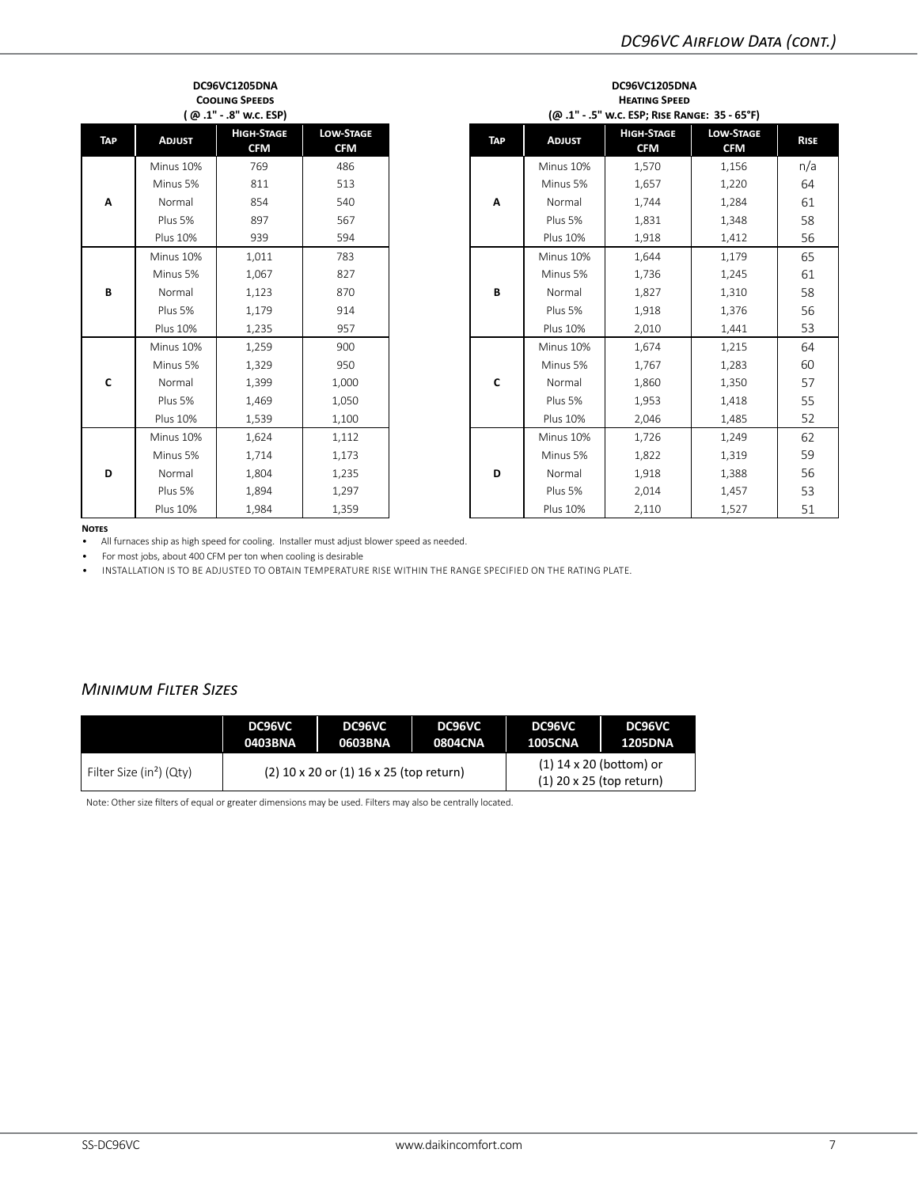| DC96VC1205DNA<br><b>COOLING SPEEDS</b><br>(@.1" - .8" w.c. ESP) |                 |                                 |                                |  |  |  |  |
|-----------------------------------------------------------------|-----------------|---------------------------------|--------------------------------|--|--|--|--|
| TAP                                                             | <b>ADJUST</b>   | <b>HIGH-STAGE</b><br><b>CFM</b> | <b>LOW-STAGE</b><br><b>CFM</b> |  |  |  |  |
|                                                                 | Minus 10%       | 769                             | 486                            |  |  |  |  |
|                                                                 | Minus 5%        | 811                             | 513                            |  |  |  |  |
| Α                                                               | Normal          | 854                             | 540                            |  |  |  |  |
|                                                                 | Plus 5%         | 897                             | 567                            |  |  |  |  |
|                                                                 | <b>Plus 10%</b> | 939                             | 594                            |  |  |  |  |
|                                                                 | Minus 10%       | 1,011                           | 783                            |  |  |  |  |
|                                                                 | Minus 5%        | 1,067                           | 827                            |  |  |  |  |
| B                                                               | Normal          | 1,123                           | 870                            |  |  |  |  |
|                                                                 | Plus 5%         | 1,179                           | 914                            |  |  |  |  |
|                                                                 | <b>Plus 10%</b> | 1,235                           | 957                            |  |  |  |  |
|                                                                 | Minus 10%       | 1,259                           | 900                            |  |  |  |  |
|                                                                 | Minus 5%        | 1,329                           | 950                            |  |  |  |  |
| Ċ                                                               | Normal          | 1,399                           | 1,000                          |  |  |  |  |
|                                                                 | Plus 5%         | 1,469                           | 1,050                          |  |  |  |  |
|                                                                 | <b>Plus 10%</b> | 1,539                           | 1,100                          |  |  |  |  |
|                                                                 | Minus 10%       | 1,624                           | 1,112                          |  |  |  |  |
|                                                                 | Minus 5%        | 1,714                           | 1,173                          |  |  |  |  |
| D                                                               | Normal          | 1,804                           | 1,235                          |  |  |  |  |
|                                                                 | Plus 5%         | 1,894                           | 1,297                          |  |  |  |  |
|                                                                 | <b>Plus 10%</b> | 1.984                           | 1,359                          |  |  |  |  |

| <b>COOLING SPEEDS</b><br>(@.1" -.8" w.c. ESP) |                                 |                                | <b>HEATING SPEED</b><br>(@.1" .5" w.c. ESP; RISE RANGE: 35 - 65°F) |            |                 |                                 |                                |             |
|-----------------------------------------------|---------------------------------|--------------------------------|--------------------------------------------------------------------|------------|-----------------|---------------------------------|--------------------------------|-------------|
| <b>ADJUST</b>                                 | <b>HIGH-STAGE</b><br><b>CFM</b> | <b>LOW-STAGE</b><br><b>CFM</b> |                                                                    | <b>TAP</b> | <b>ADJUST</b>   | <b>HIGH-STAGE</b><br><b>CFM</b> | <b>LOW-STAGE</b><br><b>CFM</b> | <b>RISE</b> |
| Minus 10%                                     | 769                             | 486                            |                                                                    |            | Minus 10%       | 1,570                           | 1,156                          | n/a         |
| Minus 5%                                      | 811                             | 513                            |                                                                    |            | Minus 5%        | 1,657                           | 1,220                          | 64          |
| Normal                                        | 854                             | 540                            |                                                                    | A          | Normal          | 1,744                           | 1,284                          | 61          |
| Plus 5%                                       | 897                             | 567                            |                                                                    |            | Plus 5%         | 1,831                           | 1,348                          | 58          |
| <b>Plus 10%</b>                               | 939                             | 594                            |                                                                    |            | <b>Plus 10%</b> | 1,918                           | 1,412                          | 56          |
| Minus 10%                                     | 1,011                           | 783                            |                                                                    |            | Minus 10%       | 1,644                           | 1,179                          | 65          |
| Minus 5%                                      | 1,067                           | 827                            |                                                                    |            | Minus 5%        | 1,736                           | 1,245                          | 61          |
| Normal                                        | 1,123                           | 870                            |                                                                    | В          | Normal          | 1,827                           | 1,310                          | 58          |
| Plus 5%                                       | 1,179                           | 914                            |                                                                    |            | Plus 5%         | 1,918                           | 1,376                          | 56          |
| <b>Plus 10%</b>                               | 1,235                           | 957                            |                                                                    |            | <b>Plus 10%</b> | 2,010                           | 1,441                          | 53          |
| Minus 10%                                     | 1,259                           | 900                            |                                                                    |            | Minus 10%       | 1,674                           | 1,215                          | 64          |
| Minus 5%                                      | 1,329                           | 950                            |                                                                    |            | Minus 5%        | 1,767                           | 1,283                          | 60          |
| Normal                                        | 1,399                           | 1,000                          |                                                                    | C          | Normal          | 1,860                           | 1,350                          | 57          |
| Plus 5%                                       | 1,469                           | 1,050                          |                                                                    |            | Plus 5%         | 1,953                           | 1,418                          | 55          |
| <b>Plus 10%</b>                               | 1,539                           | 1,100                          |                                                                    |            | <b>Plus 10%</b> | 2,046                           | 1,485                          | 52          |
| Minus 10%                                     | 1,624                           | 1,112                          |                                                                    |            | Minus 10%       | 1,726                           | 1,249                          | 62          |
| Minus 5%                                      | 1,714                           | 1,173                          |                                                                    |            | Minus 5%        | 1,822                           | 1,319                          | 59          |
| Normal                                        | 1,804                           | 1,235                          |                                                                    | D          | Normal          | 1,918                           | 1,388                          | 56          |
| Plus 5%                                       | 1,894                           | 1,297                          |                                                                    |            | Plus 5%         | 2,014                           | 1,457                          | 53          |
| <b>Plus 10%</b>                               | 1,984                           | 1,359                          |                                                                    |            | <b>Plus 10%</b> | 2,110                           | 1,527                          | 51          |

**DC96VC1205DNA**

#### **Notes**

• All furnaces ship as high speed for cooling. Installer must adjust blower speed as needed.

• For most jobs, about 400 CFM per ton when cooling is desirable

• INSTALLATION IS TO BE ADJUSTED TO OBTAIN TEMPERATURE RISE WITHIN THE RANGE SPECIFIED ON THE RATING PLATE.

## *Minimum Filter Sizes*

|                                      | DC96VC  | DC96VC                                      | DC96VC                                                  | DC96VC         | DC96VC         |  |
|--------------------------------------|---------|---------------------------------------------|---------------------------------------------------------|----------------|----------------|--|
|                                      | 0403BNA | 0603BNA                                     | 0804CNA                                                 | <b>1005CNA</b> | <b>1205DNA</b> |  |
| Filter Size (in <sup>2</sup> ) (Qty) |         | $(2)$ 10 x 20 or $(1)$ 16 x 25 (top return) | $(1)$ 14 x 20 (bottom) or<br>$(1)$ 20 x 25 (top return) |                |                |  |

Note: Other size filters of equal or greater dimensions may be used. Filters may also be centrally located.